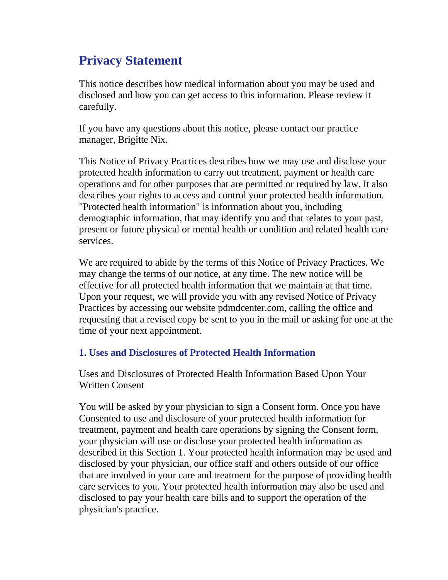## **Privacy Statement**

This notice describes how medical information about you may be used and disclosed and how you can get access to this information. Please review it carefully.

If you have any questions about this notice, please contact our practice manager, Brigitte Nix.

This Notice of Privacy Practices describes how we may use and disclose your protected health information to carry out treatment, payment or health care operations and for other purposes that are permitted or required by law. It also describes your rights to access and control your protected health information. "Protected health information" is information about you, including demographic information, that may identify you and that relates to your past, present or future physical or mental health or condition and related health care services.

We are required to abide by the terms of this Notice of Privacy Practices. We may change the terms of our notice, at any time. The new notice will be effective for all protected health information that we maintain at that time. Upon your request, we will provide you with any revised Notice of Privacy Practices by accessing our website pdmdcenter.com, calling the office and requesting that a revised copy be sent to you in the mail or asking for one at the time of your next appointment.

## **1. Uses and Disclosures of Protected Health Information**

Uses and Disclosures of Protected Health Information Based Upon Your Written Consent

You will be asked by your physician to sign a Consent form. Once you have Consented to use and disclosure of your protected health information for treatment, payment and health care operations by signing the Consent form, your physician will use or disclose your protected health information as described in this Section 1. Your protected health information may be used and disclosed by your physician, our office staff and others outside of our office that are involved in your care and treatment for the purpose of providing health care services to you. Your protected health information may also be used and disclosed to pay your health care bills and to support the operation of the physician's practice.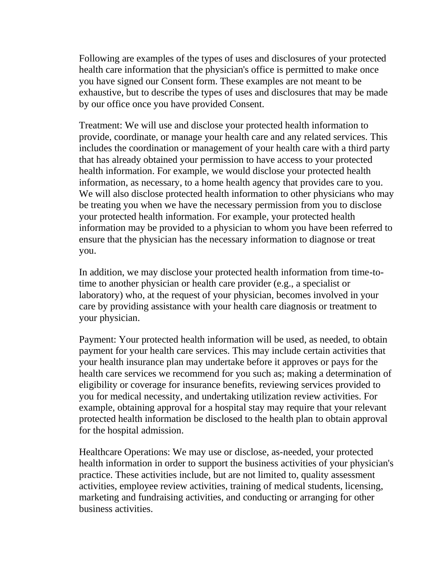Following are examples of the types of uses and disclosures of your protected health care information that the physician's office is permitted to make once you have signed our Consent form. These examples are not meant to be exhaustive, but to describe the types of uses and disclosures that may be made by our office once you have provided Consent.

Treatment: We will use and disclose your protected health information to provide, coordinate, or manage your health care and any related services. This includes the coordination or management of your health care with a third party that has already obtained your permission to have access to your protected health information. For example, we would disclose your protected health information, as necessary, to a home health agency that provides care to you. We will also disclose protected health information to other physicians who may be treating you when we have the necessary permission from you to disclose your protected health information. For example, your protected health information may be provided to a physician to whom you have been referred to ensure that the physician has the necessary information to diagnose or treat you.

In addition, we may disclose your protected health information from time-totime to another physician or health care provider (e.g., a specialist or laboratory) who, at the request of your physician, becomes involved in your care by providing assistance with your health care diagnosis or treatment to your physician.

Payment: Your protected health information will be used, as needed, to obtain payment for your health care services. This may include certain activities that your health insurance plan may undertake before it approves or pays for the health care services we recommend for you such as; making a determination of eligibility or coverage for insurance benefits, reviewing services provided to you for medical necessity, and undertaking utilization review activities. For example, obtaining approval for a hospital stay may require that your relevant protected health information be disclosed to the health plan to obtain approval for the hospital admission.

Healthcare Operations: We may use or disclose, as-needed, your protected health information in order to support the business activities of your physician's practice. These activities include, but are not limited to, quality assessment activities, employee review activities, training of medical students, licensing, marketing and fundraising activities, and conducting or arranging for other business activities.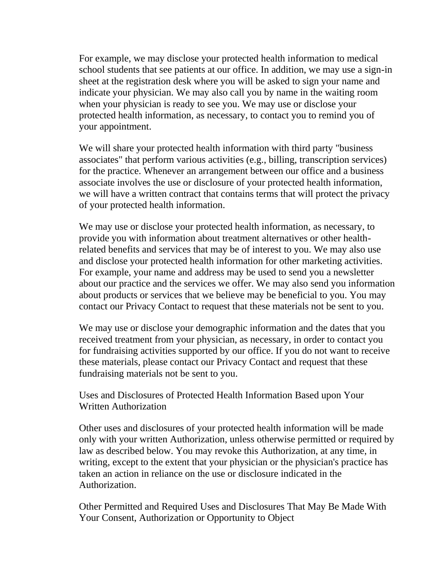For example, we may disclose your protected health information to medical school students that see patients at our office. In addition, we may use a sign-in sheet at the registration desk where you will be asked to sign your name and indicate your physician. We may also call you by name in the waiting room when your physician is ready to see you. We may use or disclose your protected health information, as necessary, to contact you to remind you of your appointment.

We will share your protected health information with third party "business associates" that perform various activities (e.g., billing, transcription services) for the practice. Whenever an arrangement between our office and a business associate involves the use or disclosure of your protected health information, we will have a written contract that contains terms that will protect the privacy of your protected health information.

We may use or disclose your protected health information, as necessary, to provide you with information about treatment alternatives or other healthrelated benefits and services that may be of interest to you. We may also use and disclose your protected health information for other marketing activities. For example, your name and address may be used to send you a newsletter about our practice and the services we offer. We may also send you information about products or services that we believe may be beneficial to you. You may contact our Privacy Contact to request that these materials not be sent to you.

We may use or disclose your demographic information and the dates that you received treatment from your physician, as necessary, in order to contact you for fundraising activities supported by our office. If you do not want to receive these materials, please contact our Privacy Contact and request that these fundraising materials not be sent to you.

Uses and Disclosures of Protected Health Information Based upon Your Written Authorization

Other uses and disclosures of your protected health information will be made only with your written Authorization, unless otherwise permitted or required by law as described below. You may revoke this Authorization, at any time, in writing, except to the extent that your physician or the physician's practice has taken an action in reliance on the use or disclosure indicated in the Authorization.

Other Permitted and Required Uses and Disclosures That May Be Made With Your Consent, Authorization or Opportunity to Object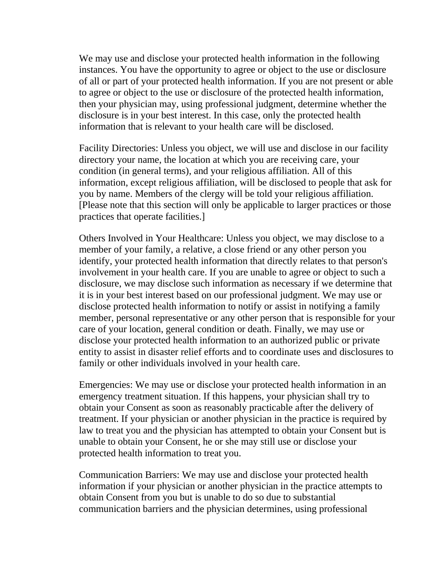We may use and disclose your protected health information in the following instances. You have the opportunity to agree or object to the use or disclosure of all or part of your protected health information. If you are not present or able to agree or object to the use or disclosure of the protected health information, then your physician may, using professional judgment, determine whether the disclosure is in your best interest. In this case, only the protected health information that is relevant to your health care will be disclosed.

Facility Directories: Unless you object, we will use and disclose in our facility directory your name, the location at which you are receiving care, your condition (in general terms), and your religious affiliation. All of this information, except religious affiliation, will be disclosed to people that ask for you by name. Members of the clergy will be told your religious affiliation. [Please note that this section will only be applicable to larger practices or those practices that operate facilities.]

Others Involved in Your Healthcare: Unless you object, we may disclose to a member of your family, a relative, a close friend or any other person you identify, your protected health information that directly relates to that person's involvement in your health care. If you are unable to agree or object to such a disclosure, we may disclose such information as necessary if we determine that it is in your best interest based on our professional judgment. We may use or disclose protected health information to notify or assist in notifying a family member, personal representative or any other person that is responsible for your care of your location, general condition or death. Finally, we may use or disclose your protected health information to an authorized public or private entity to assist in disaster relief efforts and to coordinate uses and disclosures to family or other individuals involved in your health care.

Emergencies: We may use or disclose your protected health information in an emergency treatment situation. If this happens, your physician shall try to obtain your Consent as soon as reasonably practicable after the delivery of treatment. If your physician or another physician in the practice is required by law to treat you and the physician has attempted to obtain your Consent but is unable to obtain your Consent, he or she may still use or disclose your protected health information to treat you.

Communication Barriers: We may use and disclose your protected health information if your physician or another physician in the practice attempts to obtain Consent from you but is unable to do so due to substantial communication barriers and the physician determines, using professional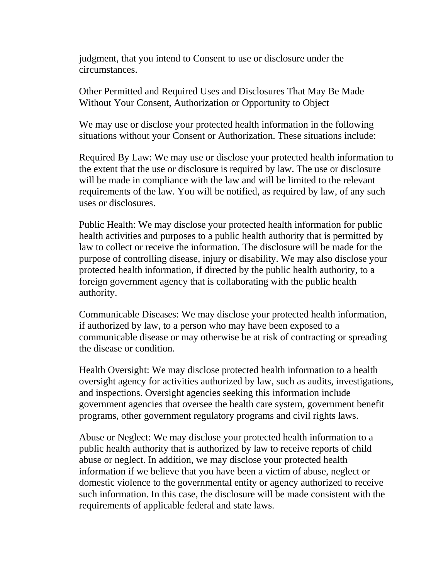judgment, that you intend to Consent to use or disclosure under the circumstances.

Other Permitted and Required Uses and Disclosures That May Be Made Without Your Consent, Authorization or Opportunity to Object

We may use or disclose your protected health information in the following situations without your Consent or Authorization. These situations include:

Required By Law: We may use or disclose your protected health information to the extent that the use or disclosure is required by law. The use or disclosure will be made in compliance with the law and will be limited to the relevant requirements of the law. You will be notified, as required by law, of any such uses or disclosures.

Public Health: We may disclose your protected health information for public health activities and purposes to a public health authority that is permitted by law to collect or receive the information. The disclosure will be made for the purpose of controlling disease, injury or disability. We may also disclose your protected health information, if directed by the public health authority, to a foreign government agency that is collaborating with the public health authority.

Communicable Diseases: We may disclose your protected health information, if authorized by law, to a person who may have been exposed to a communicable disease or may otherwise be at risk of contracting or spreading the disease or condition.

Health Oversight: We may disclose protected health information to a health oversight agency for activities authorized by law, such as audits, investigations, and inspections. Oversight agencies seeking this information include government agencies that oversee the health care system, government benefit programs, other government regulatory programs and civil rights laws.

Abuse or Neglect: We may disclose your protected health information to a public health authority that is authorized by law to receive reports of child abuse or neglect. In addition, we may disclose your protected health information if we believe that you have been a victim of abuse, neglect or domestic violence to the governmental entity or agency authorized to receive such information. In this case, the disclosure will be made consistent with the requirements of applicable federal and state laws.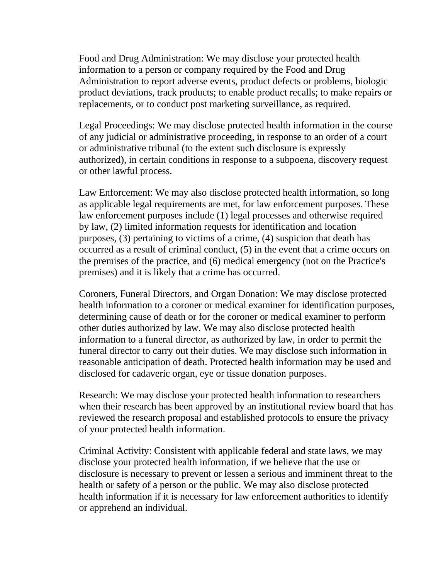Food and Drug Administration: We may disclose your protected health information to a person or company required by the Food and Drug Administration to report adverse events, product defects or problems, biologic product deviations, track products; to enable product recalls; to make repairs or replacements, or to conduct post marketing surveillance, as required.

Legal Proceedings: We may disclose protected health information in the course of any judicial or administrative proceeding, in response to an order of a court or administrative tribunal (to the extent such disclosure is expressly authorized), in certain conditions in response to a subpoena, discovery request or other lawful process.

Law Enforcement: We may also disclose protected health information, so long as applicable legal requirements are met, for law enforcement purposes. These law enforcement purposes include (1) legal processes and otherwise required by law, (2) limited information requests for identification and location purposes, (3) pertaining to victims of a crime, (4) suspicion that death has occurred as a result of criminal conduct, (5) in the event that a crime occurs on the premises of the practice, and (6) medical emergency (not on the Practice's premises) and it is likely that a crime has occurred.

Coroners, Funeral Directors, and Organ Donation: We may disclose protected health information to a coroner or medical examiner for identification purposes, determining cause of death or for the coroner or medical examiner to perform other duties authorized by law. We may also disclose protected health information to a funeral director, as authorized by law, in order to permit the funeral director to carry out their duties. We may disclose such information in reasonable anticipation of death. Protected health information may be used and disclosed for cadaveric organ, eye or tissue donation purposes.

Research: We may disclose your protected health information to researchers when their research has been approved by an institutional review board that has reviewed the research proposal and established protocols to ensure the privacy of your protected health information.

Criminal Activity: Consistent with applicable federal and state laws, we may disclose your protected health information, if we believe that the use or disclosure is necessary to prevent or lessen a serious and imminent threat to the health or safety of a person or the public. We may also disclose protected health information if it is necessary for law enforcement authorities to identify or apprehend an individual.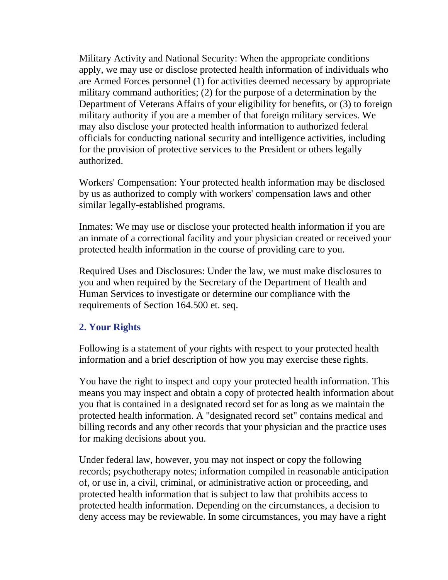Military Activity and National Security: When the appropriate conditions apply, we may use or disclose protected health information of individuals who are Armed Forces personnel (1) for activities deemed necessary by appropriate military command authorities; (2) for the purpose of a determination by the Department of Veterans Affairs of your eligibility for benefits, or (3) to foreign military authority if you are a member of that foreign military services. We may also disclose your protected health information to authorized federal officials for conducting national security and intelligence activities, including for the provision of protective services to the President or others legally authorized.

Workers' Compensation: Your protected health information may be disclosed by us as authorized to comply with workers' compensation laws and other similar legally-established programs.

Inmates: We may use or disclose your protected health information if you are an inmate of a correctional facility and your physician created or received your protected health information in the course of providing care to you.

Required Uses and Disclosures: Under the law, we must make disclosures to you and when required by the Secretary of the Department of Health and Human Services to investigate or determine our compliance with the requirements of Section 164.500 et. seq.

## **2. Your Rights**

Following is a statement of your rights with respect to your protected health information and a brief description of how you may exercise these rights.

You have the right to inspect and copy your protected health information. This means you may inspect and obtain a copy of protected health information about you that is contained in a designated record set for as long as we maintain the protected health information. A "designated record set" contains medical and billing records and any other records that your physician and the practice uses for making decisions about you.

Under federal law, however, you may not inspect or copy the following records; psychotherapy notes; information compiled in reasonable anticipation of, or use in, a civil, criminal, or administrative action or proceeding, and protected health information that is subject to law that prohibits access to protected health information. Depending on the circumstances, a decision to deny access may be reviewable. In some circumstances, you may have a right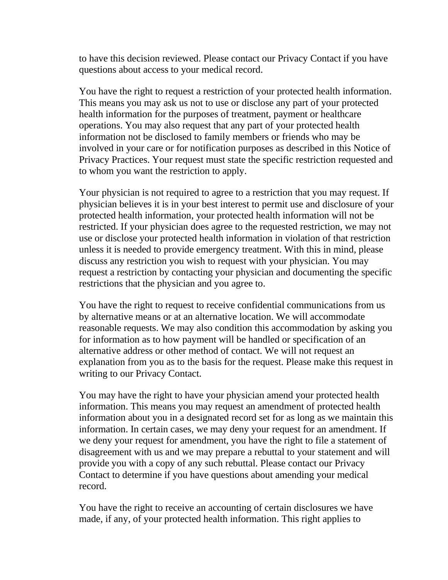to have this decision reviewed. Please contact our Privacy Contact if you have questions about access to your medical record.

You have the right to request a restriction of your protected health information. This means you may ask us not to use or disclose any part of your protected health information for the purposes of treatment, payment or healthcare operations. You may also request that any part of your protected health information not be disclosed to family members or friends who may be involved in your care or for notification purposes as described in this Notice of Privacy Practices. Your request must state the specific restriction requested and to whom you want the restriction to apply.

Your physician is not required to agree to a restriction that you may request. If physician believes it is in your best interest to permit use and disclosure of your protected health information, your protected health information will not be restricted. If your physician does agree to the requested restriction, we may not use or disclose your protected health information in violation of that restriction unless it is needed to provide emergency treatment. With this in mind, please discuss any restriction you wish to request with your physician. You may request a restriction by contacting your physician and documenting the specific restrictions that the physician and you agree to.

You have the right to request to receive confidential communications from us by alternative means or at an alternative location. We will accommodate reasonable requests. We may also condition this accommodation by asking you for information as to how payment will be handled or specification of an alternative address or other method of contact. We will not request an explanation from you as to the basis for the request. Please make this request in writing to our Privacy Contact.

You may have the right to have your physician amend your protected health information. This means you may request an amendment of protected health information about you in a designated record set for as long as we maintain this information. In certain cases, we may deny your request for an amendment. If we deny your request for amendment, you have the right to file a statement of disagreement with us and we may prepare a rebuttal to your statement and will provide you with a copy of any such rebuttal. Please contact our Privacy Contact to determine if you have questions about amending your medical record.

You have the right to receive an accounting of certain disclosures we have made, if any, of your protected health information. This right applies to